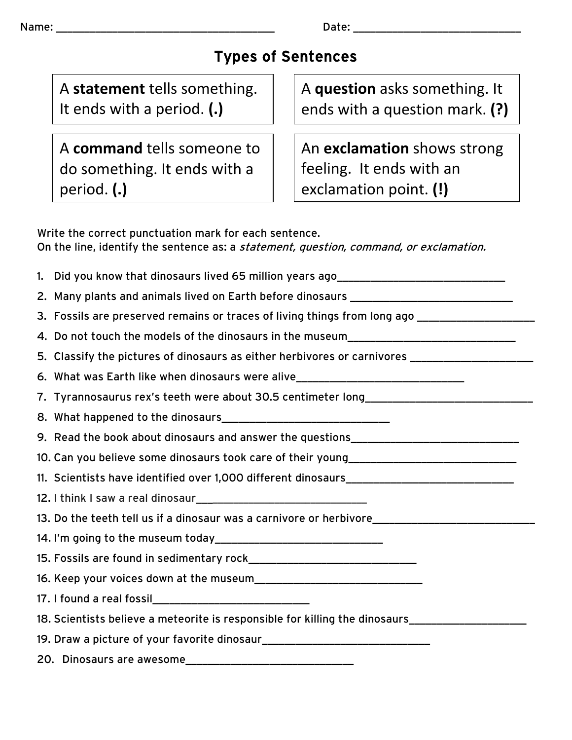## Types of Sentences

A **statement** tells something. It ends with a period. **(.)**

A **command** tells someone to do something. It ends with a period. **(.)**

A **question** asks something. It ends with a question mark. **(?)**

An **exclamation** shows strong feeling. It ends with an exclamation point. **(!)**

Write the correct punctuation mark for each sentence. On the line, identify the sentence as: a statement, question, command, or exclamation.

| 1. Did you know that dinosaurs lived 65 million years ago_______________________                     |
|------------------------------------------------------------------------------------------------------|
| 2. Many plants and animals lived on Earth before dinosaurs _____________________                     |
| 3. Fossils are preserved remains or traces of living things from long ago __________________________ |
| 4. Do not touch the models of the dinosaurs in the museum________________________                    |
| 5. Classify the pictures of dinosaurs as either herbivores or carnivores __________________________  |
| 6. What was Earth like when dinosaurs were alive________________________________                     |
| 7. Tyrannosaurus rex's teeth were about 30.5 centimeter long_____________________                    |
|                                                                                                      |
| 9. Read the book about dinosaurs and answer the questions_______________________                     |
| 10. Can you believe some dinosaurs took care of their young______________________                    |
|                                                                                                      |
|                                                                                                      |
| 13. Do the teeth tell us if a dinosaur was a carnivore or herbivore_________________________________ |
|                                                                                                      |
|                                                                                                      |
|                                                                                                      |
|                                                                                                      |
| 18. Scientists believe a meteorite is responsible for killing the dinosaurs________________________  |
|                                                                                                      |
|                                                                                                      |